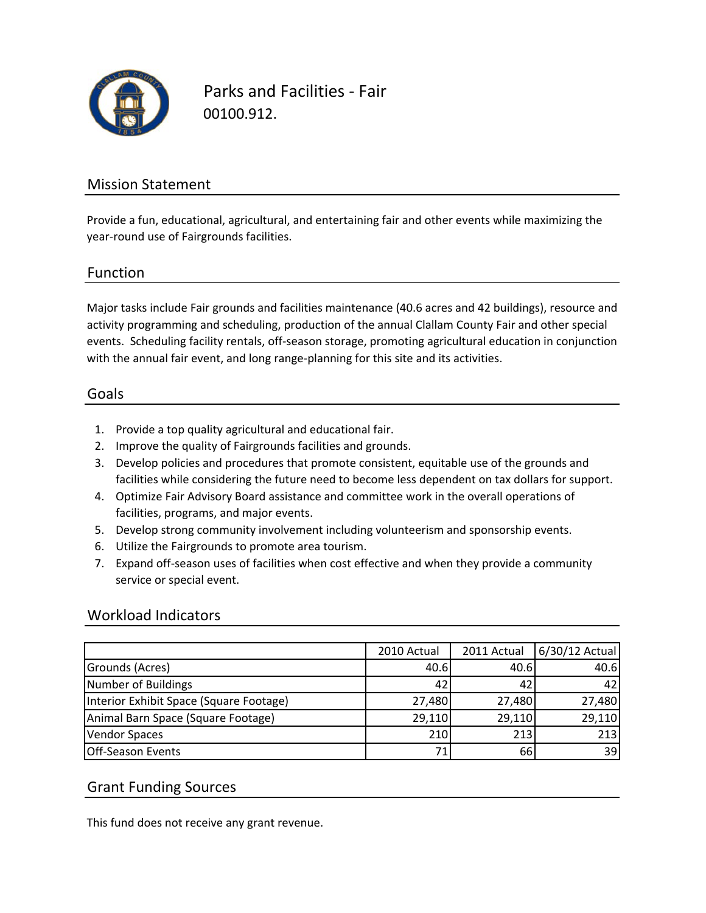

Parks and Facilities ‐ Fair 00100.912.

### Mission Statement

Provide a fun, educational, agricultural, and entertaining fair and other events while maximizing the year‐round use of Fairgrounds facilities.

#### Function

Major tasks include Fair grounds and facilities maintenance (40.6 acres and 42 buildings), resource and activity programming and scheduling, production of the annual Clallam County Fair and other special events. Scheduling facility rentals, off‐season storage, promoting agricultural education in conjunction with the annual fair event, and long range-planning for this site and its activities.

#### Goals

- 1. Provide a top quality agricultural and educational fair.
- 2. Improve the quality of Fairgrounds facilities and grounds.
- 3. Develop policies and procedures that promote consistent, equitable use of the grounds and facilities while considering the future need to become less dependent on tax dollars for support.
- 4. Optimize Fair Advisory Board assistance and committee work in the overall operations of facilities, programs, and major events.
- 5. Develop strong community involvement including volunteerism and sponsorship events.
- 6. Utilize the Fairgrounds to promote area tourism.
- 7. Expand off‐season uses of facilities when cost effective and when they provide a community service or special event.

#### Workload Indicators

|                                         | 2010 Actual | 2011 Actual | 6/30/12 Actual |
|-----------------------------------------|-------------|-------------|----------------|
| Grounds (Acres)                         | 40.6        | 40.6        | 40.6           |
| Number of Buildings                     | 42          | 42          | 42             |
| Interior Exhibit Space (Square Footage) | 27,480      | 27,480      | 27,480         |
| Animal Barn Space (Square Footage)      | 29,110      | 29,110      | 29,110         |
| <b>Vendor Spaces</b>                    | 210         | 213         | 213            |
| <b>Off-Season Events</b>                |             | 66          | 39             |

#### Grant Funding Sources

This fund does not receive any grant revenue.